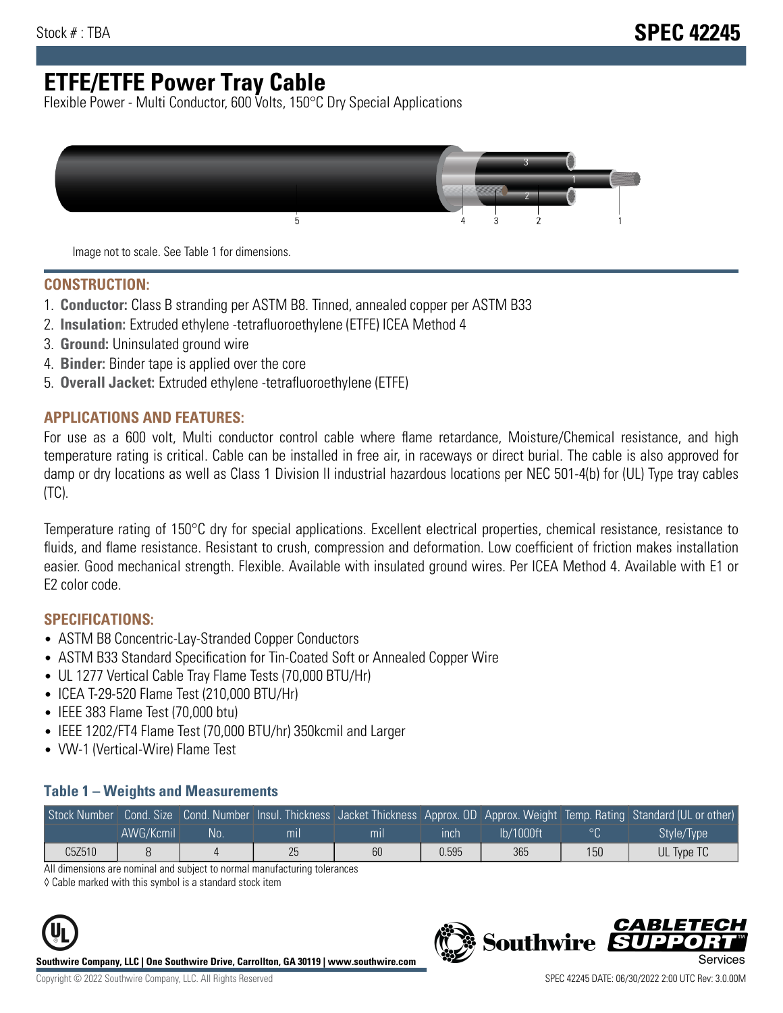# **ETFE/ETFE Power Tray Cable**

Flexible Power - Multi Conductor, 600 Volts, 150°C Dry Special Applications



Image not to scale. See Table 1 for dimensions.

#### **CONSTRUCTION:**

- 1. **Conductor:** Class B stranding per ASTM B8. Tinned, annealed copper per ASTM B33
- 2. **Insulation:** Extruded ethylene -tetrafluoroethylene (ETFE) ICEA Method 4
- 3. **Ground:** Uninsulated ground wire
- 4. **Binder:** Binder tape is applied over the core
- 5. **Overall Jacket:** Extruded ethylene -tetrafluoroethylene (ETFE)

### **APPLICATIONS AND FEATURES:**

For use as a 600 volt, Multi conductor control cable where flame retardance, Moisture/Chemical resistance, and high temperature rating is critical. Cable can be installed in free air, in raceways or direct burial. The cable is also approved for damp or dry locations as well as Class 1 Division II industrial hazardous locations per NEC 501-4(b) for (UL) Type tray cables (TC).

Temperature rating of 150°C dry for special applications. Excellent electrical properties, chemical resistance, resistance to fluids, and flame resistance. Resistant to crush, compression and deformation. Low coefficient of friction makes installation easier. Good mechanical strength. Flexible. Available with insulated ground wires. Per ICEA Method 4. Available with E1 or E2 color code.

### **SPECIFICATIONS:**

- ASTM B8 Concentric-Lay-Stranded Copper Conductors
- ASTM B33 Standard Specification for Tin-Coated Soft or Annealed Copper Wire
- UL 1277 Vertical Cable Tray Flame Tests (70,000 BTU/Hr)
- ICEA T-29-520 Flame Test (210,000 BTU/Hr)
- IEEE 383 Flame Test (70,000 btu)
- IEEE 1202/FT4 Flame Test (70,000 BTU/hr) 350kcmil and Larger
- VW-1 (Vertical-Wire) Flame Test

#### **Table 1 – Weights and Measurements**

|        |           |     |     |     |       |           |     | Stock Number Cond. Size Cond. Number Insul. Thickness Jacket Thickness Approx. OD Approx. Weight Temp. Rating Standard (UL or other) |
|--------|-----------|-----|-----|-----|-------|-----------|-----|--------------------------------------------------------------------------------------------------------------------------------------|
|        | AWG/Kcmil | No. | mıl | mil | ınch  | lb/1000ft |     | Style/Type <sup>1</sup>                                                                                                              |
| C5Z510 |           |     | 25  | 60  | 0.595 | 365       | 150 | UL Type TC                                                                                                                           |

All dimensions are nominal and subject to normal manufacturing tolerances

◊ Cable marked with this symbol is a standard stock item



**Southwire Company, LLC | One Southwire Drive, Carrollton, GA 30119 | www.southwire.com**



CARLET